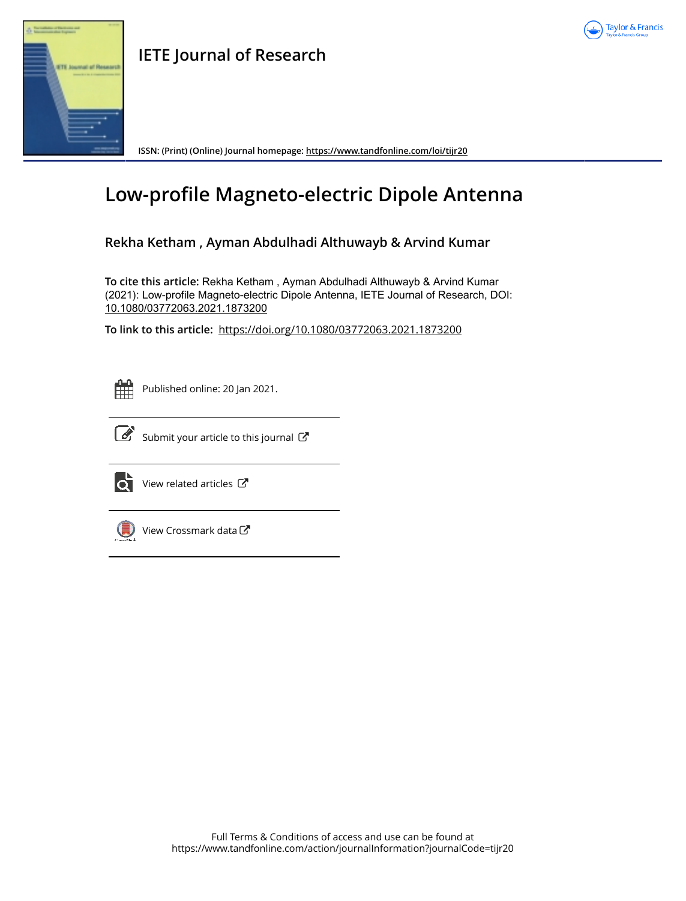



**ISSN: (Print) (Online) Journal homepage: https://www.tandfonline.com/loi/tijr20**

# **Low-profile Magneto-electric Dipole Antenna**

# **Rekha Ketham , Ayman Abdulhadi Althuwayb & Arvind Kumar**

**To cite this article:** Rekha Ketham , Ayman Abdulhadi Althuwayb & Arvind Kumar (2021): Low-profile Magneto-electric Dipole Antenna, IETE Journal of Research, DOI: 10.1080/03772063.2021.1873200

**To link to this article:** https://doi.org/10.1080/03772063.2021.1873200



Published online: 20 Jan 2021.



 $\overline{\mathcal{C}}$  Submit your article to this journal  $\overline{\mathcal{C}}$ 



View related articles C



View Crossmark data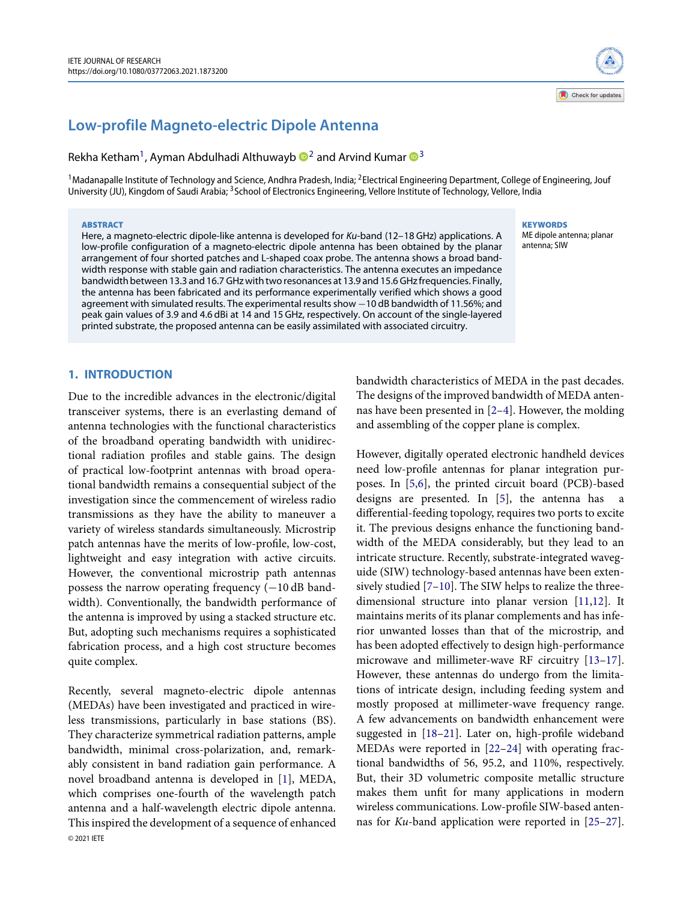# **Low-profile Magneto-electric Dipole Antenna**

Rekha Ketham<sup>1</sup>, Ayman Abdulhadi Althuwayb  $\mathbf{D}^2$  and Arvind Kumar  $\mathbf{D}^3$ 

 $^1$ Madanapalle Institute of Technology and Science, Andhra Pradesh, India; <sup>2</sup>Electrical Engineering Department, College of Engineering, Jouf University (JU), Kingdom of Saudi Arabia; <sup>3</sup>School of Electronics Engineering, Vellore Institute of Technology, Vellore, India

#### ABSTRACT

Here, a magneto-electric dipole-like antenna is developed for Ku-band (12-18 GHz) applications. A low-profile configuration of a magneto-electric dipole antenna has been obtained by the planar arrangement of four shorted patches and L-shaped coax probe. The antenna shows a broad bandwidth response with stable gain and radiation characteristics. The antenna executes an impedance bandwidth between 13.3 and 16.7 GHz with two resonances at 13.9 and 15.6 GHz frequencies. Finally, the antenna has been fabricated and its performance experimentally verified which shows a good agreement with simulated results. The experimental results show −10 dB bandwidth of 11.56%; and peak gain values of 3.9 and 4.6 dBi at 14 and 15 GHz, respectively. On account of the single-layered printed substrate, the proposed antenna can be easily assimilated with associated circuitry.

#### **KEYWORDS**

ME dipole antenna; planar antenna; SIW

## **1. INTRODUCTION**

Due to the incredible advances in the electronic/digital transceiver systems, there is an everlasting demand of antenna technologies with the functional characteristics of the broadband operating bandwidth with unidirectional radiation profiles and stable gains. The design of practical low-footprint antennas with broad operational bandwidth remains a consequential subject of the investigation since the commencement of wireless radio transmissions as they have the ability to maneuver a variety of wireless standards simultaneously. Microstrip patch antennas have the merits of low-profile, low-cost, lightweight and easy integration with active circuits. However, the conventional microstrip path antennas possess the narrow operating frequency (−10 dB bandwidth). Conventionally, the bandwidth performance of the antenna is improved by using a stacked structure etc. But, adopting such mechanisms requires a sophisticated fabrication process, and a high cost structure becomes quite complex.

Recently, several magneto-electric dipole antennas (MEDAs) have been investigated and practiced in wireless transmissions, particularly in base stations (BS). They characterize symmetrical radiation patterns, ample bandwidth, minimal cross-polarization, and, remarkably consistent in band radiation gain performance. A novel broadband antenna is developed in [1], MEDA, which comprises one-fourth of the wavelength patch antenna and a half-wavelength electric dipole antenna. This inspired the development of a sequence of enhanced © 2021 IETE

bandwidth characteristics of MEDA in the past decades. The designs of the improved bandwidth of MEDA antennas have been presented in [2–4]. However, the molding and assembling of the copper plane is complex.

However, digitally operated electronic handheld devices need low-profile antennas for planar integration purposes. In [5,6], the printed circuit board (PCB)-based designs are presented. In [5], the antenna has a differential-feeding topology, requires two ports to excite it. The previous designs enhance the functioning bandwidth of the MEDA considerably, but they lead to an intricate structure. Recently, substrate-integrated waveguide (SIW) technology-based antennas have been extensively studied [7–10]. The SIW helps to realize the threedimensional structure into planar version [11,12]. It maintains merits of its planar complements and has inferior unwanted losses than that of the microstrip, and has been adopted effectively to design high-performance microwave and millimeter-wave RF circuitry [13–17]. However, these antennas do undergo from the limitations of intricate design, including feeding system and mostly proposed at millimeter-wave frequency range. A few advancements on bandwidth enhancement were suggested in [18–21]. Later on, high-profile wideband MEDAs were reported in [22–24] with operating fractional bandwidths of 56, 95.2, and 110%, respectively. But, their 3D volumetric composite metallic structure makes them unfit for many applications in modern wireless communications. Low-profile SIW-based antennas for Ku-band application were reported in [25–27].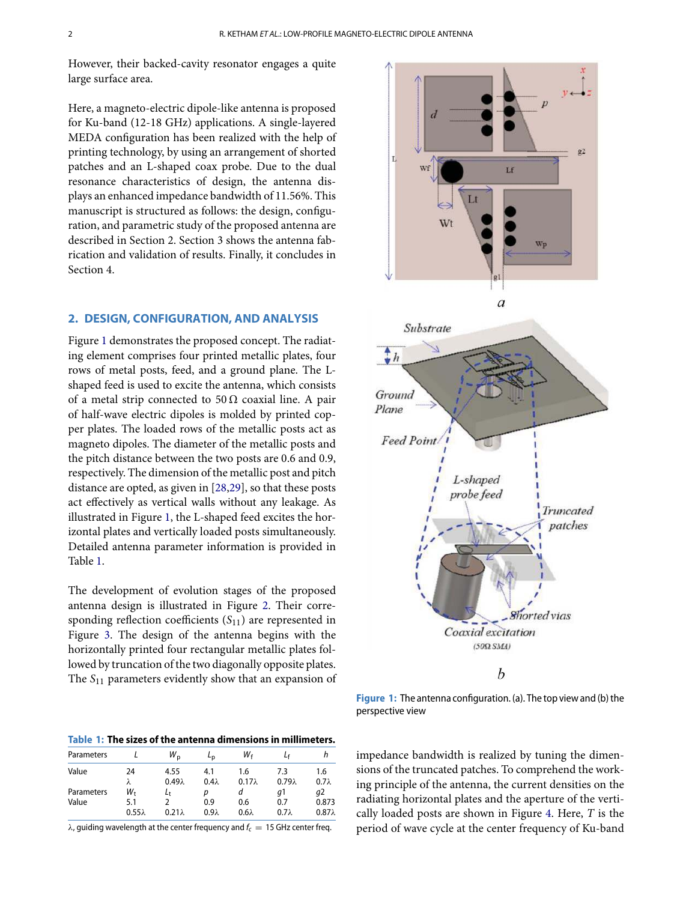However, their backed-cavity resonator engages a quite large surface area.

Here, a magneto-electric dipole-like antenna is proposed for Ku-band (12-18 GHz) applications. A single-layered MEDA configuration has been realized with the help of printing technology, by using an arrangement of shorted patches and an L-shaped coax probe. Due to the dual resonance characteristics of design, the antenna displays an enhanced impedance bandwidth of 11.56%. This manuscript is structured as follows: the design, configuration, and parametric study of the proposed antenna are described in Section 2. Section 3 shows the antenna fabrication and validation of results. Finally, it concludes in Section 4.

## **2. DESIGN, CONFIGURATION, AND ANALYSIS**

Figure 1 demonstrates the proposed concept. The radiating element comprises four printed metallic plates, four rows of metal posts, feed, and a ground plane. The Lshaped feed is used to excite the antenna, which consists of a metal strip connected to  $50 \Omega$  coaxial line. A pair of half-wave electric dipoles is molded by printed copper plates. The loaded rows of the metallic posts act as magneto dipoles. The diameter of the metallic posts and the pitch distance between the two posts are 0.6 and 0.9, respectively. The dimension of the metallic post and pitch distance are opted, as given in [28,29], so that these posts act effectively as vertical walls without any leakage. As illustrated in Figure 1, the L-shaped feed excites the horizontal plates and vertically loaded posts simultaneously. Detailed antenna parameter information is provided in Table 1.

The development of evolution stages of the proposed antenna design is illustrated in Figure 2. Their corresponding reflection coefficients  $(S_{11})$  are represented in Figure 3. The design of the antenna begins with the horizontally printed four rectangular metallic plates followed by truncation of the two diagonally opposite plates. The  $S_{11}$  parameters evidently show that an expansion of

**Table 1: The sizes of the antenna dimensions in millimeters.**

| Parameters |               | $W_{\rm p}$   | $L_{\rm D}$  | Wғ            |               |               |
|------------|---------------|---------------|--------------|---------------|---------------|---------------|
| Value      | 24            | 4.55          | 4.1          | 1.6           | 7.3           | 1.6           |
|            | λ             | $0.49\lambda$ | $0.4\lambda$ | $0.17\lambda$ | $0.79\lambda$ | $0.7\lambda$  |
| Parameters | W+            | Lt            | D            | а             | q1            | a2            |
| Value      | 5.1           |               | 0.9          | 0.6           | 0.7           | 0.873         |
|            | $0.55\lambda$ | $0.21\lambda$ | $0.9\lambda$ | $0.6\lambda$  | $0.7\lambda$  | $0.87\lambda$ |

 $\lambda$ , guiding wavelength at the center frequency and  $f_c = 15$  GHz center freq.



**Figure 1:** The antenna configuration. (a). The top view and (b) the perspective view

impedance bandwidth is realized by tuning the dimensions of the truncated patches. To comprehend the working principle of the antenna, the current densities on the radiating horizontal plates and the aperture of the vertically loaded posts are shown in Figure 4. Here,  $T$  is the period of wave cycle at the center frequency of Ku-band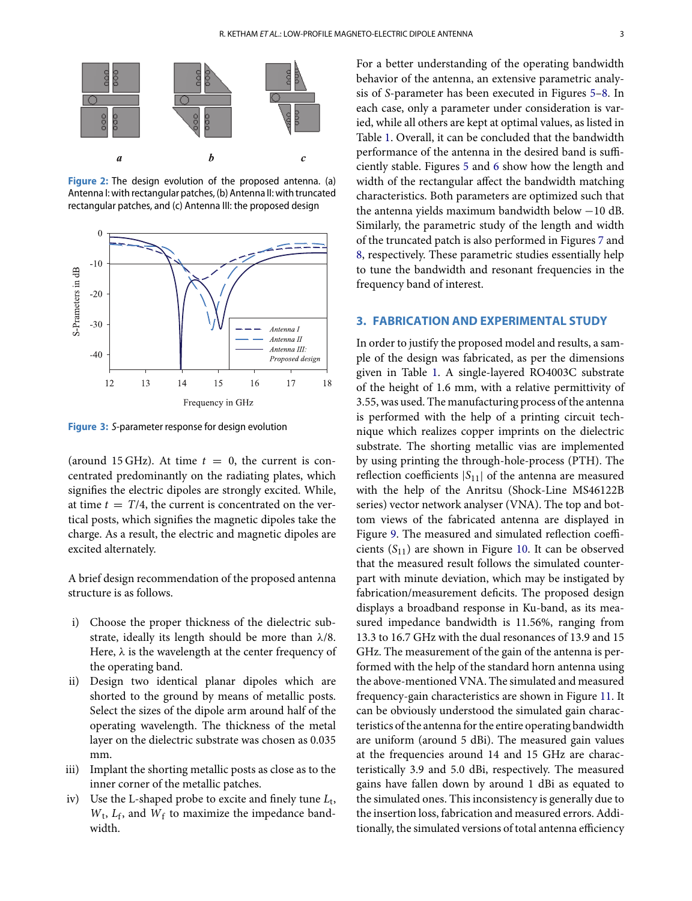

**Figure 2:** The design evolution of the proposed antenna. (a) Antenna I: with rectangular patches, (b) Antenna II: with truncated rectangular patches, and (c) Antenna III: the proposed design



**Figure 3:** S-parameter response for design evolution

(around 15 GHz). At time  $t = 0$ , the current is concentrated predominantly on the radiating plates, which signifies the electric dipoles are strongly excited. While, at time  $t = T/4$ , the current is concentrated on the vertical posts, which signifies the magnetic dipoles take the charge. As a result, the electric and magnetic dipoles are excited alternately.

A brief design recommendation of the proposed antenna structure is as follows.

- i) Choose the proper thickness of the dielectric substrate, ideally its length should be more than  $\lambda/8$ . Here,  $\lambda$  is the wavelength at the center frequency of the operating band.
- ii) Design two identical planar dipoles which are shorted to the ground by means of metallic posts. Select the sizes of the dipole arm around half of the operating wavelength. The thickness of the metal layer on the dielectric substrate was chosen as 0.035 mm.
- iii) Implant the shorting metallic posts as close as to the inner corner of the metallic patches.
- iv) Use the L-shaped probe to excite and finely tune  $L_t$ ,  $W_t$ ,  $L_f$ , and  $W_f$  to maximize the impedance bandwidth.

For a better understanding of the operating bandwidth behavior of the antenna, an extensive parametric analysis of S-parameter has been executed in Figures 5–8. In each case, only a parameter under consideration is varied, while all others are kept at optimal values, as listed in Table 1. Overall, it can be concluded that the bandwidth performance of the antenna in the desired band is sufficiently stable. Figures 5 and 6 show how the length and width of the rectangular affect the bandwidth matching characteristics. Both parameters are optimized such that the antenna yields maximum bandwidth below −10 dB. Similarly, the parametric study of the length and width of the truncated patch is also performed in Figures 7 and 8, respectively. These parametric studies essentially help to tune the bandwidth and resonant frequencies in the frequency band of interest.

## **3. FABRICATION AND EXPERIMENTAL STUDY**

In order to justify the proposed model and results, a sample of the design was fabricated, as per the dimensions given in Table 1. A single-layered RO4003C substrate of the height of 1.6 mm, with a relative permittivity of 3.55, was used. The manufacturing process of the antenna is performed with the help of a printing circuit technique which realizes copper imprints on the dielectric substrate. The shorting metallic vias are implemented by using printing the through-hole-process (PTH). The reflection coefficients  $|S_{11}|$  of the antenna are measured with the help of the Anritsu (Shock-Line MS46122B series) vector network analyser (VNA). The top and bottom views of the fabricated antenna are displayed in Figure 9. The measured and simulated reflection coefficients  $(S_{11})$  are shown in Figure 10. It can be observed that the measured result follows the simulated counterpart with minute deviation, which may be instigated by fabrication/measurement deficits. The proposed design displays a broadband response in Ku-band, as its measured impedance bandwidth is 11.56%, ranging from 13.3 to 16.7 GHz with the dual resonances of 13.9 and 15 GHz. The measurement of the gain of the antenna is performed with the help of the standard horn antenna using the above-mentioned VNA. The simulated and measured frequency-gain characteristics are shown in Figure 11. It can be obviously understood the simulated gain characteristics of the antenna for the entire operating bandwidth are uniform (around 5 dBi). The measured gain values at the frequencies around 14 and 15 GHz are characteristically 3.9 and 5.0 dBi, respectively. The measured gains have fallen down by around 1 dBi as equated to the simulated ones. This inconsistency is generally due to the insertion loss, fabrication and measured errors. Additionally, the simulated versions of total antenna efficiency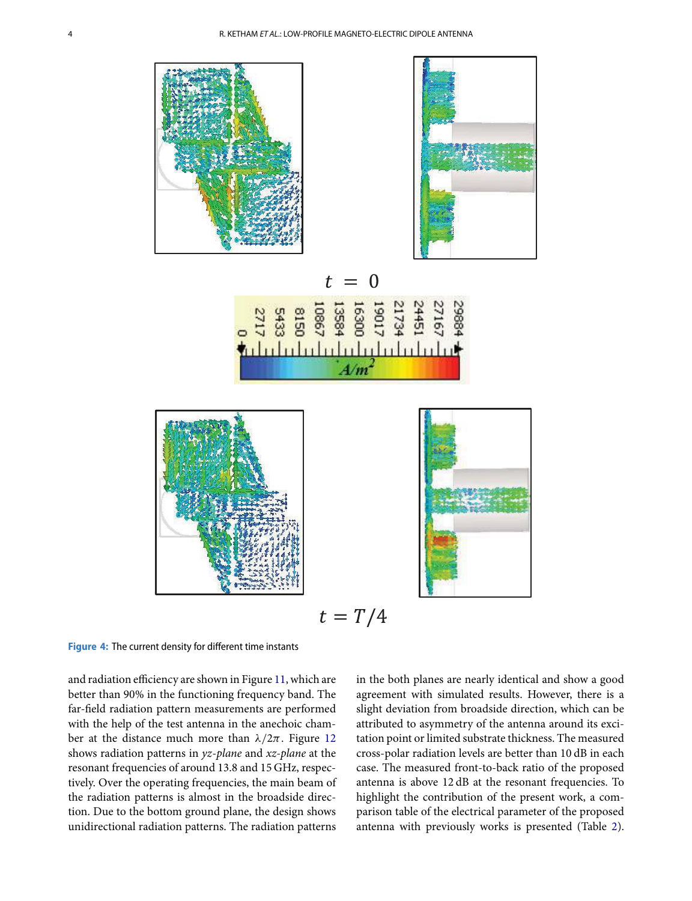



**Figure 4:** The current density for different time instants

and radiation efficiency are shown in Figure 11, which are better than 90% in the functioning frequency band. The far-field radiation pattern measurements are performed with the help of the test antenna in the anechoic chamber at the distance much more than  $\lambda/2\pi$ . Figure 12 shows radiation patterns in yz-plane and xz-plane at the resonant frequencies of around 13.8 and 15 GHz, respectively. Over the operating frequencies, the main beam of the radiation patterns is almost in the broadside direction. Due to the bottom ground plane, the design shows unidirectional radiation patterns. The radiation patterns

in the both planes are nearly identical and show a good agreement with simulated results. However, there is a slight deviation from broadside direction, which can be attributed to asymmetry of the antenna around its excitation point or limited substrate thickness. The measured cross-polar radiation levels are better than 10 dB in each case. The measured front-to-back ratio of the proposed antenna is above 12 dB at the resonant frequencies. To highlight the contribution of the present work, a comparison table of the electrical parameter of the proposed antenna with previously works is presented (Table 2).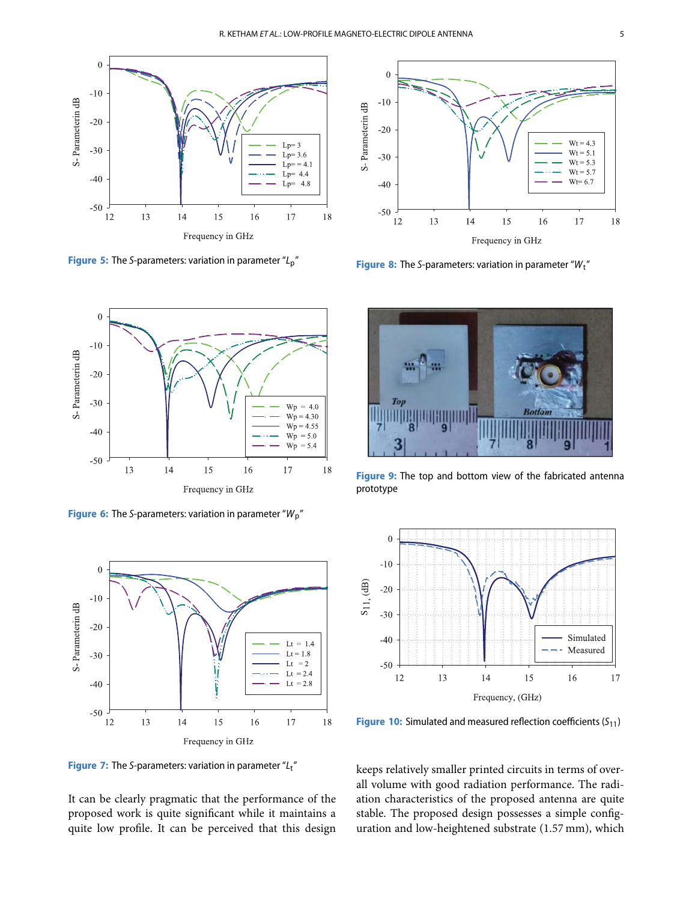

**Figure 5:** The S-parameters: variation in parameter "L<sub>p</sub>"



**Figure 8:** The S-parameters: variation in parameter "Wt"



**Figure 6:** The S-parameters: variation in parameter "W<sub>p</sub>"



**Figure 7:** The S-parameters: variation in parameter "L<sub>t</sub>"

It can be clearly pragmatic that the performance of the proposed work is quite significant while it maintains a quite low profile. It can be perceived that this design



**Figure 9:** The top and bottom view of the fabricated antenna prototype



**Figure 10:** Simulated and measured reflection coefficients (S<sub>11</sub>)

keeps relatively smaller printed circuits in terms of overall volume with good radiation performance. The radiation characteristics of the proposed antenna are quite stable. The proposed design possesses a simple configuration and low-heightened substrate (1.57 mm), which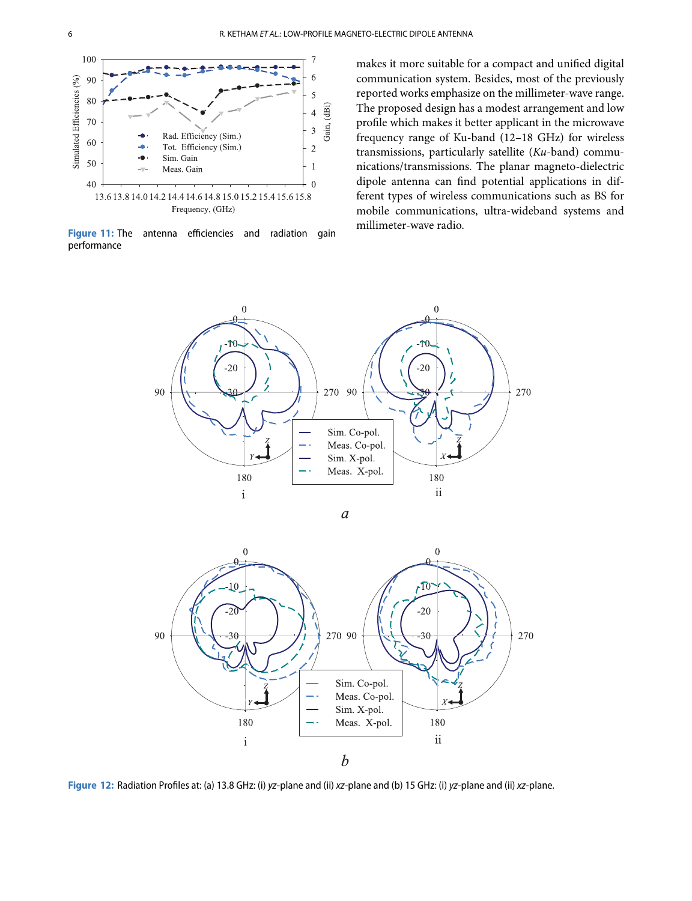

**Figure 11:** The antenna efficiencies and radiation gain performance

makes it more suitable for a compact and unified digital communication system. Besides, most of the previously reported works emphasize on the millimeter-wave range. The proposed design has a modest arrangement and low profile which makes it better applicant in the microwave frequency range of Ku-band (12–18 GHz) for wireless transmissions, particularly satellite (Ku-band) communications/transmissions. The planar magneto-dielectric dipole antenna can find potential applications in different types of wireless communications such as BS for mobile communications, ultra-wideband systems and millimeter-wave radio.





**Figure 12:** Radiation Profiles at: (a) 13.8 GHz: (i) yz-plane and (ii) xz-plane and (b) 15 GHz: (i) yz-plane and (ii) xz-plane.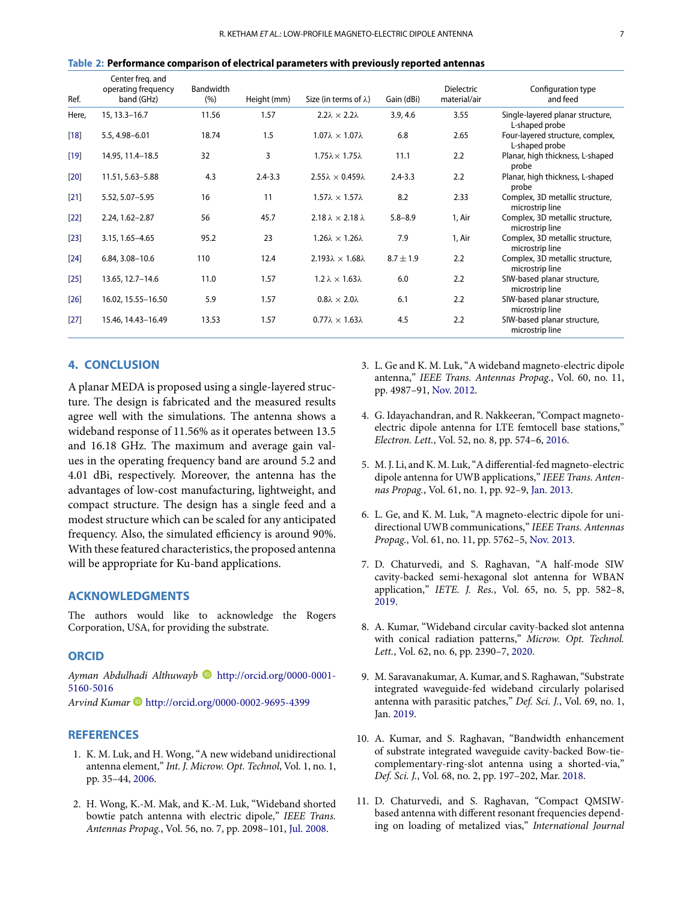|  | Table 2: Performance comparison of electrical parameters with previously reported antennas |  |  |  |
|--|--------------------------------------------------------------------------------------------|--|--|--|
|--|--------------------------------------------------------------------------------------------|--|--|--|

| Ref.   | Center freg. and<br>operating frequency<br>band (GHz) | Bandwidth<br>(% ) | Height (mm) | Size (in terms of $\lambda$ )      | Gain (dBi)    | <b>Dielectric</b><br>material/air | Configuration type<br>and feed                     |
|--------|-------------------------------------------------------|-------------------|-------------|------------------------------------|---------------|-----------------------------------|----------------------------------------------------|
| Here,  | 15, 13.3 - 16.7                                       | 11.56             | 1.57        | $2.2\lambda \times 2.2\lambda$     | 3.9, 4.6      | 3.55                              | Single-layered planar structure,<br>L-shaped probe |
| $[18]$ | 5.5, 4.98-6.01                                        | 18.74             | 1.5         | $1.07\lambda \times 1.07\lambda$   | 6.8           | 2.65                              | Four-layered structure, complex,<br>L-shaped probe |
| $[19]$ | 14.95, 11.4-18.5                                      | 32                | 3           | $1.75\lambda \times 1.75\lambda$   | 11.1          | 2.2                               | Planar, high thickness, L-shaped<br>probe          |
| $[20]$ | 11.51, 5.63-5.88                                      | 4.3               | $2.4 - 3.3$ | $2.55\lambda \times 0.459\lambda$  | $2.4 - 3.3$   | 2.2                               | Planar, high thickness, L-shaped<br>probe          |
| $[21]$ | 5.52, 5.07-5.95                                       | 16                | 11          | $1.57\lambda \times 1.57\lambda$   | 8.2           | 2.33                              | Complex, 3D metallic structure,<br>microstrip line |
| $[22]$ | 2.24, 1.62-2.87                                       | 56                | 45.7        | $2.18 \lambda \times 2.18 \lambda$ | $5.8 - 8.9$   | 1, Air                            | Complex, 3D metallic structure,<br>microstrip line |
| $[23]$ | 3.15, 1.65-4.65                                       | 95.2              | 23          | $1.26\lambda \times 1.26\lambda$   | 7.9           | 1, Air                            | Complex, 3D metallic structure,<br>microstrip line |
| $[24]$ | 6.84, 3.08-10.6                                       | 110               | 12.4        | $2.193\lambda \times 1.68\lambda$  | $8.7 \pm 1.9$ | 2.2                               | Complex, 3D metallic structure,<br>microstrip line |
| $[25]$ | 13.65, 12.7-14.6                                      | 11.0              | 1.57        | $1.2 \lambda \times 1.63 \lambda$  | 6.0           | 2.2                               | SIW-based planar structure,<br>microstrip line     |
| [26]   | 16.02, 15.55-16.50                                    | 5.9               | 1.57        | $0.8\lambda \times 2.0\lambda$     | 6.1           | 2.2                               | SIW-based planar structure,<br>microstrip line     |
| $[27]$ | 15.46, 14.43-16.49                                    | 13.53             | 1.57        | $0.77\lambda \times 1.63\lambda$   | 4.5           | 2.2                               | SIW-based planar structure,<br>microstrip line     |

# **4. CONCLUSION**

A planar MEDA is proposed using a single-layered structure. The design is fabricated and the measured results agree well with the simulations. The antenna shows a wideband response of 11.56% as it operates between 13.5 and 16.18 GHz. The maximum and average gain values in the operating frequency band are around 5.2 and 4.01 dBi, respectively. Moreover, the antenna has the advantages of low-cost manufacturing, lightweight, and compact structure. The design has a single feed and a modest structure which can be scaled for any anticipated frequency. Also, the simulated efficiency is around 90%. With these featured characteristics, the proposed antenna will be appropriate for Ku-band applications.

# **ACKNOWLEDGMENTS**

The authors would like to acknowledge the Rogers Corporation, USA, for providing the substrate.

#### **ORCID**

Ayman Abdulhadi Althuwayb **b** http://orcid.org/0000-0001-5160-5016

Arvind Kumar D http://orcid.org/0000-0002-9695-4399

#### **REFERENCES**

- 1. K. M. Luk, and H. Wong, "A new wideband unidirectional antenna element," Int. J. Microw. Opt. Technol, Vol. 1, no. 1, pp. 35–44, 2006.
- 2. H. Wong, K.-M. Mak, and K.-M. Luk, "Wideband shorted bowtie patch antenna with electric dipole," IEEE Trans. Antennas Propag., Vol. 56, no. 7, pp. 2098–101, Jul. 2008.
- 3. L. Ge and K. M. Luk, "A wideband magneto-electric dipole antenna," IEEE Trans. Antennas Propag., Vol. 60, no. 11, pp. 4987–91, Nov. 2012.
- 4. G. Idayachandran, and R. Nakkeeran, "Compact magnetoelectric dipole antenna for LTE femtocell base stations," Electron. Lett., Vol. 52, no. 8, pp. 574–6, 2016.
- 5. M. J. Li, and K. M. Luk, "A differential-fed magneto-electric dipole antenna for UWB applications," IEEE Trans. Antennas Propag., Vol. 61, no. 1, pp. 92–9, Jan. 2013.
- 6. L. Ge, and K. M. Luk, "A magneto-electric dipole for unidirectional UWB communications," IEEE Trans. Antennas Propag., Vol. 61, no. 11, pp. 5762–5, Nov. 2013.
- 7. D. Chaturvedi, and S. Raghavan, "A half-mode SIW cavity-backed semi-hexagonal slot antenna for WBAN application," IETE. J. Res., Vol. 65, no. 5, pp. 582–8, 2019.
- 8. A. Kumar, "Wideband circular cavity-backed slot antenna with conical radiation patterns," Microw. Opt. Technol. Lett., Vol. 62, no. 6, pp. 2390–7, 2020.
- 9. M. Saravanakumar, A. Kumar, and S. Raghawan, "Substrate integrated waveguide-fed wideband circularly polarised antenna with parasitic patches," Def. Sci. J., Vol. 69, no. 1, Jan. 2019.
- 10. A. Kumar, and S. Raghavan, "Bandwidth enhancement of substrate integrated waveguide cavity-backed Bow-tiecomplementary-ring-slot antenna using a shorted-via," Def. Sci. J., Vol. 68, no. 2, pp. 197–202, Mar. 2018.
- 11. D. Chaturvedi, and S. Raghavan, "Compact QMSIWbased antenna with different resonant frequencies depending on loading of metalized vias," International Journal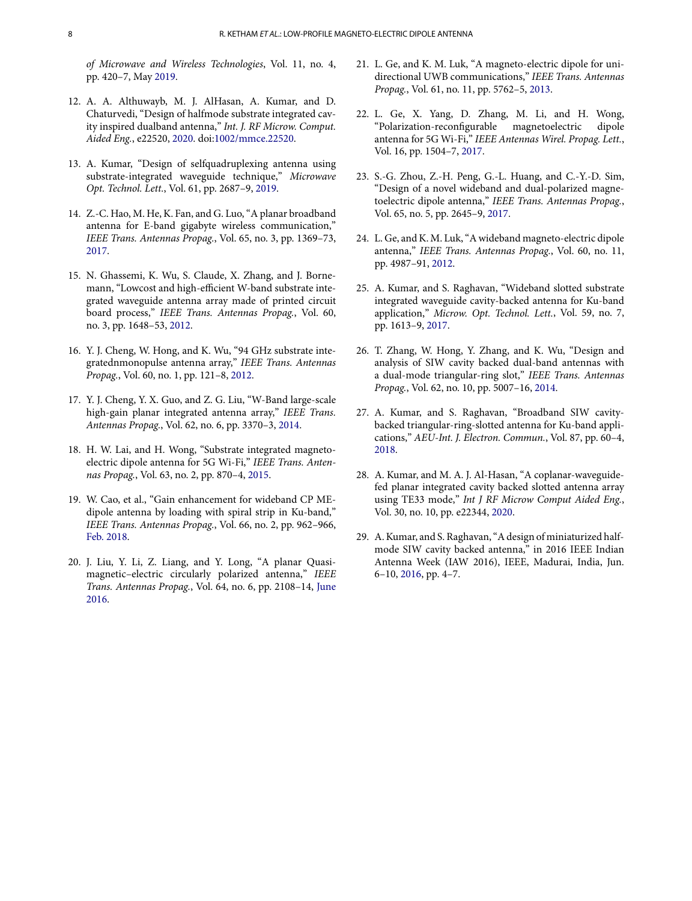of Microwave and Wireless Technologies, Vol. 11, no. 4, pp. 420–7, May 2019.

- 12. A. A. Althuwayb, M. J. AlHasan, A. Kumar, and D. Chaturvedi, "Design of halfmode substrate integrated cavity inspired dualband antenna," Int. J. RF Microw. Comput. Aided Eng., e22520, 2020. doi:1002/mmce.22520.
- 13. A. Kumar, "Design of selfquadruplexing antenna using substrate-integrated waveguide technique," Microwave Opt. Technol. Lett., Vol. 61, pp. 2687–9, 2019.
- 14. Z.-C. Hao, M. He, K. Fan, and G. Luo, "A planar broadband antenna for E-band gigabyte wireless communication," IEEE Trans. Antennas Propag., Vol. 65, no. 3, pp. 1369–73, 2017.
- 15. N. Ghassemi, K. Wu, S. Claude, X. Zhang, and J. Bornemann, "Lowcost and high-efficient W-band substrate integrated waveguide antenna array made of printed circuit board process," IEEE Trans. Antennas Propag., Vol. 60, no. 3, pp. 1648–53, 2012.
- 16. Y. J. Cheng, W. Hong, and K. Wu, "94 GHz substrate integratednmonopulse antenna array," IEEE Trans. Antennas Propag., Vol. 60, no. 1, pp. 121–8, 2012.
- 17. Y. J. Cheng, Y. X. Guo, and Z. G. Liu, "W-Band large-scale high-gain planar integrated antenna array," IEEE Trans. Antennas Propag., Vol. 62, no. 6, pp. 3370–3, 2014.
- 18. H. W. Lai, and H. Wong, "Substrate integrated magnetoelectric dipole antenna for 5G Wi-Fi," IEEE Trans. Antennas Propag., Vol. 63, no. 2, pp. 870–4, 2015.
- 19. W. Cao, et al., "Gain enhancement for wideband CP MEdipole antenna by loading with spiral strip in Ku-band," IEEE Trans. Antennas Propag., Vol. 66, no. 2, pp. 962–966, Feb. 2018.
- 20. J. Liu, Y. Li, Z. Liang, and Y. Long, "A planar Quasimagnetic–electric circularly polarized antenna," IEEE Trans. Antennas Propag., Vol. 64, no. 6, pp. 2108–14, June 2016.
- 21. L. Ge, and K. M. Luk, "A magneto-electric dipole for unidirectional UWB communications," IEEE Trans. Antennas Propag., Vol. 61, no. 11, pp. 5762–5, 2013.
- 22. L. Ge, X. Yang, D. Zhang, M. Li, and H. Wong, "Polarization-reconfigurable magnetoelectric dipole antenna for 5G Wi-Fi," IEEE Antennas Wirel. Propag. Lett., Vol. 16, pp. 1504–7, 2017.
- 23. S.-G. Zhou, Z.-H. Peng, G.-L. Huang, and C.-Y.-D. Sim, "Design of a novel wideband and dual-polarized magnetoelectric dipole antenna," IEEE Trans. Antennas Propag., Vol. 65, no. 5, pp. 2645–9, 2017.
- 24. L. Ge, and K. M. Luk, "A wideband magneto-electric dipole antenna," IEEE Trans. Antennas Propag., Vol. 60, no. 11, pp. 4987–91, 2012.
- 25. A. Kumar, and S. Raghavan, "Wideband slotted substrate integrated waveguide cavity-backed antenna for Ku-band application," Microw. Opt. Technol. Lett., Vol. 59, no. 7, pp. 1613–9, 2017.
- 26. T. Zhang, W. Hong, Y. Zhang, and K. Wu, "Design and analysis of SIW cavity backed dual-band antennas with a dual-mode triangular-ring slot," IEEE Trans. Antennas Propag., Vol. 62, no. 10, pp. 5007–16, 2014.
- 27. A. Kumar, and S. Raghavan, "Broadband SIW cavitybacked triangular-ring-slotted antenna for Ku-band applications," AEU-Int. J. Electron. Commun., Vol. 87, pp. 60–4, 2018.
- 28. A. Kumar, and M. A. J. Al-Hasan, "A coplanar-waveguidefed planar integrated cavity backed slotted antenna array using TE33 mode," Int J RF Microw Comput Aided Eng., Vol. 30, no. 10, pp. e22344, 2020.
- 29. A. Kumar, and S. Raghavan, "A design of miniaturized halfmode SIW cavity backed antenna," in 2016 IEEE Indian Antenna Week (IAW 2016), IEEE, Madurai, India, Jun. 6–10, 2016, pp. 4–7.